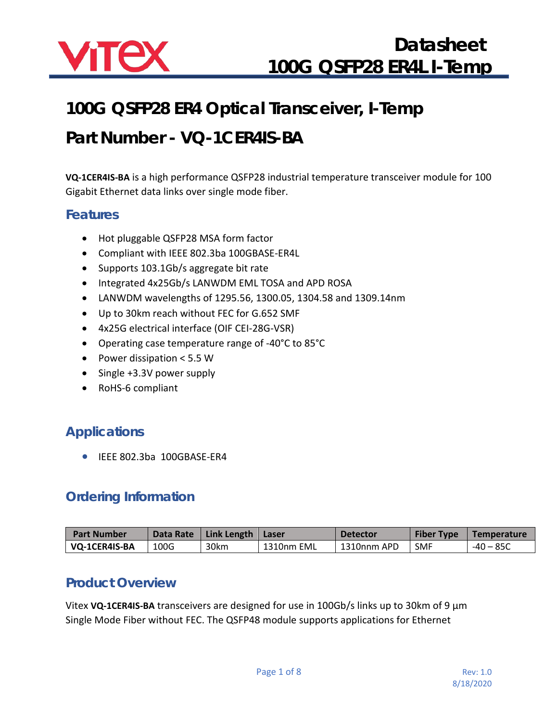

# **100G QSFP28 ER4 Optical Transceiver, I-Temp**

# **Part Number - VQ-1CER4IS-BA**

**VQ-1CER4IS-BA** is a high performance QSFP28 industrial temperature transceiver module for 100 Gigabit Ethernet data links over single mode fiber.

#### **Features**

- Hot pluggable QSFP28 MSA form factor
- Compliant with IEEE 802.3ba 100GBASE-ER4L
- Supports 103.1Gb/s aggregate bit rate
- Integrated 4x25Gb/s LANWDM EML TOSA and APD ROSA
- LANWDM wavelengths of 1295.56, 1300.05, 1304.58 and 1309.14nm
- Up to 30km reach without FEC for G.652 SMF
- 4x25G electrical interface (OIF CEI-28G-VSR)
- Operating case temperature range of -40°C to 85°C
- Power dissipation < 5.5 W
- Single +3.3V power supply
- RoHS-6 compliant

### **Applications**

• IEEE 802.3ba 100GBASE-ER4

### **Ordering Information**

| <b>Part Number</b> | Data Rate | Link Length   Laser |            | Detector    | <b>Fiber Type</b> | Temperature |
|--------------------|-----------|---------------------|------------|-------------|-------------------|-------------|
| VQ-1CER4IS-BA      | 100G      | 30km                | 1310nm EML | 1310nnm APD | <b>SMF</b>        | $-40 - 85C$ |

#### **Product Overview**

Vitex **VQ-1CER4IS-BA** transceivers are designed for use in 100Gb/s links up to 30km of 9 μm Single Mode Fiber without FEC. The QSFP48 module supports applications for Ethernet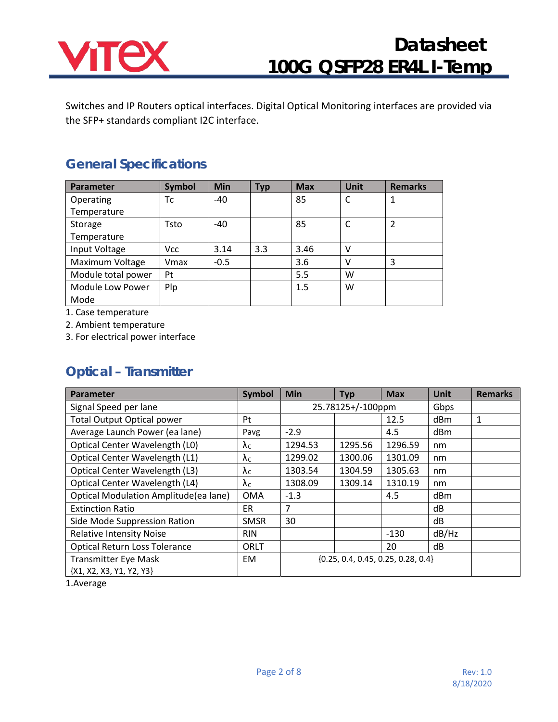

Switches and IP Routers optical interfaces. Digital Optical Monitoring interfaces are provided via the SFP+ standards compliant I2C interface.

### **General Specifications**

| Parameter          | <b>Symbol</b> | <b>Min</b> | <b>Typ</b> | <b>Max</b> | <b>Unit</b> | <b>Remarks</b> |
|--------------------|---------------|------------|------------|------------|-------------|----------------|
| Operating          | Тc            | $-40$      |            | 85         | C           | $\mathbf{1}$   |
| Temperature        |               |            |            |            |             |                |
| Storage            | Tsto          | $-40$      |            | 85         | C           | $\overline{2}$ |
| Temperature        |               |            |            |            |             |                |
| Input Voltage      | <b>Vcc</b>    | 3.14       | 3.3        | 3.46       | v           |                |
| Maximum Voltage    | Vmax          | $-0.5$     |            | 3.6        | v           | 3              |
| Module total power | Pt            |            |            | 5.5        | W           |                |
| Module Low Power   | Plp           |            |            | 1.5        | w           |                |
| Mode               |               |            |            |            |             |                |

1. Case temperature

2. Ambient temperature

3. For electrical power interface

### **Optical – Transmitter**

| Parameter                             | Symbol               | <b>Min</b>                             | <b>Typ</b> | <b>Max</b> | <b>Unit</b> | <b>Remarks</b> |
|---------------------------------------|----------------------|----------------------------------------|------------|------------|-------------|----------------|
| Signal Speed per lane                 |                      | 25.78125+/-100ppm                      |            | Gbps       |             |                |
| <b>Total Output Optical power</b>     | Pt                   |                                        |            | 12.5       | dBm         | 1              |
| Average Launch Power (ea lane)        | Pavg                 | $-2.9$                                 |            | 4.5        | dBm         |                |
| Optical Center Wavelength (L0)        | $\lambda_c$          | 1294.53                                | 1295.56    | 1296.59    | nm          |                |
| Optical Center Wavelength (L1)        | $\lambda_c$          | 1299.02                                | 1300.06    | 1301.09    | nm          |                |
| Optical Center Wavelength (L3)        | $\lambda_c$          | 1303.54                                | 1304.59    | 1305.63    | nm          |                |
| Optical Center Wavelength (L4)        | $\lambda_{\text{C}}$ | 1308.09                                | 1309.14    | 1310.19    | nm          |                |
| Optical Modulation Amplitude(ea lane) | <b>OMA</b>           | $-1.3$                                 |            | 4.5        | dBm         |                |
| <b>Extinction Ratio</b>               | ER.                  | 7                                      |            |            | dB          |                |
| Side Mode Suppression Ration          | <b>SMSR</b>          | 30                                     |            |            | dB          |                |
| <b>Relative Intensity Noise</b>       | <b>RIN</b>           |                                        |            | $-130$     | dB/Hz       |                |
| <b>Optical Return Loss Tolerance</b>  | ORLT                 |                                        |            | 20         | dB          |                |
| <b>Transmitter Eye Mask</b>           | EM                   | $\{0.25, 0.4, 0.45, 0.25, 0.28, 0.4\}$ |            |            |             |                |
| {X1, X2, X3, Y1, Y2, Y3}              |                      |                                        |            |            |             |                |

1.Average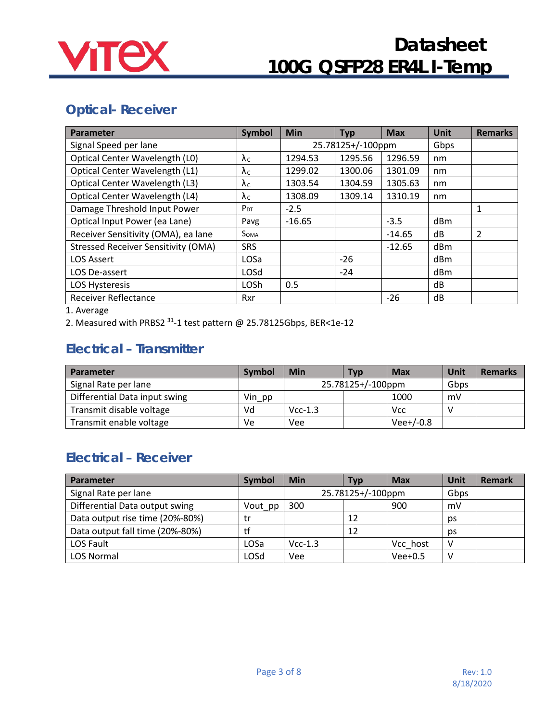

### **Optical- Receiver**

| <b>Parameter</b>                           | <b>Symbol</b>        | <b>Min</b> | <b>Typ</b>        | <b>Max</b> | Unit | <b>Remarks</b> |
|--------------------------------------------|----------------------|------------|-------------------|------------|------|----------------|
| Signal Speed per lane                      |                      |            | 25.78125+/-100ppm | Gbps       |      |                |
| Optical Center Wavelength (L0)             | $\lambda_c$          | 1294.53    | 1295.56           | 1296.59    | nm   |                |
| Optical Center Wavelength (L1)             | $\lambda_c$          | 1299.02    | 1300.06           | 1301.09    | nm   |                |
| Optical Center Wavelength (L3)             | $\lambda_{\text{C}}$ | 1303.54    | 1304.59           | 1305.63    | nm   |                |
| Optical Center Wavelength (L4)             | $\lambda_c$          | 1308.09    | 1309.14           | 1310.19    | nm   |                |
| Damage Threshold Input Power               | $P_{DT}$             | $-2.5$     |                   |            |      | 1              |
| Optical Input Power (ea Lane)              | Pavg                 | $-16.65$   |                   | $-3.5$     | dBm  |                |
| Receiver Sensitivity (OMA), ea lane        | <b>SOMA</b>          |            |                   | $-14.65$   | dB   | $\mathcal{P}$  |
| <b>Stressed Receiver Sensitivity (OMA)</b> | <b>SRS</b>           |            |                   | $-12.65$   | dBm  |                |
| <b>LOS Assert</b>                          | LOSa                 |            | $-26$             |            | dBm  |                |
| LOS De-assert                              | LOSd                 |            | $-24$             |            | dBm  |                |
| <b>LOS Hysteresis</b>                      | LOSh                 | 0.5        |                   |            | dB   |                |
| <b>Receiver Reflectance</b>                | Rxr                  |            |                   | $-26$      | dB   |                |

1. Average

2. Measured with PRBS2 31-1 test pattern @ 25.78125Gbps, BER<1e-12

## **Electrical – Transmitter**

| Parameter                     | Symbol | Min       | <b>Typ</b>        | <b>Max</b>  | Unit | <b>Remarks</b> |
|-------------------------------|--------|-----------|-------------------|-------------|------|----------------|
| Signal Rate per lane          |        |           | 25.78125+/-100ppm |             | Gbps |                |
| Differential Data input swing | Vin pp |           |                   | 1000        | mV   |                |
| Transmit disable voltage      | Vd     | $Vcc-1.3$ |                   | <b>Vcc</b>  |      |                |
| Transmit enable voltage       | Ve     | Vee       |                   | $Vee+/-0.8$ |      |                |

### **Electrical – Receiver**

| Parameter                       | <b>Symbol</b> | Min               | <b>Typ</b> | <b>Max</b> | Unit | <b>Remark</b> |
|---------------------------------|---------------|-------------------|------------|------------|------|---------------|
| Signal Rate per lane            |               | 25.78125+/-100ppm |            | Gbps       |      |               |
| Differential Data output swing  | Vout pp       | 300               |            | 900        | mV   |               |
| Data output rise time (20%-80%) | tr            |                   | 12         |            | ps   |               |
| Data output fall time (20%-80%) | tf            |                   | 12         |            | ps   |               |
| LOS Fault                       | LOSa          | $Vcc-1.3$         |            | Vcc host   | V    |               |
| <b>LOS Normal</b>               | LOSd          | Vee               |            | $Vee+0.5$  | v    |               |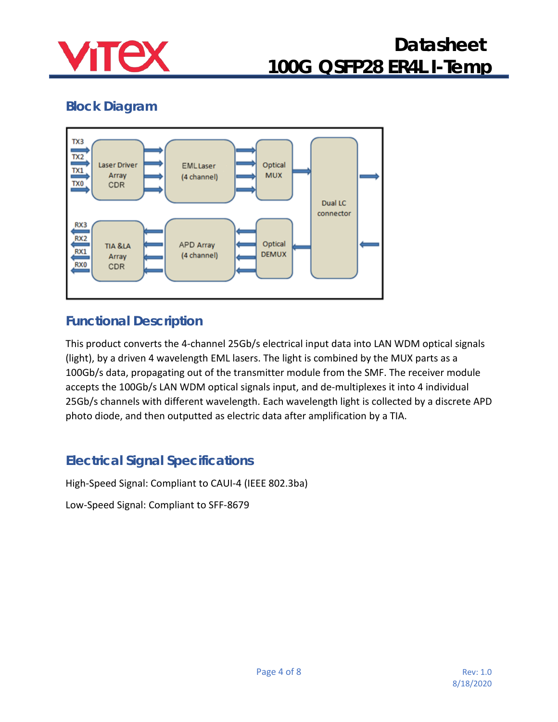

# **Block Diagram**



### **Functional Description**

This product converts the 4-channel 25Gb/s electrical input data into LAN WDM optical signals (light), by a driven 4 wavelength EML lasers. The light is combined by the MUX parts as a 100Gb/s data, propagating out of the transmitter module from the SMF. The receiver module accepts the 100Gb/s LAN WDM optical signals input, and de-multiplexes it into 4 individual 25Gb/s channels with different wavelength. Each wavelength light is collected by a discrete APD photo diode, and then outputted as electric data after amplification by a TIA.

### **Electrical Signal Specifications**

High-Speed Signal: Compliant to CAUI-4 (IEEE 802.3ba)

Low-Speed Signal: Compliant to SFF-8679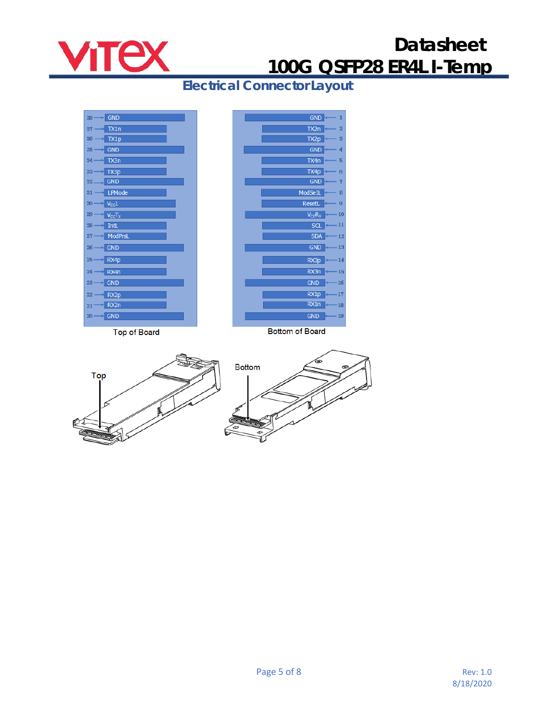

 $\overline{a}$ 

12

13

 $14$ 

16

 $17$ 

18

 $19$ 

**Electrical Connector Layout**



**Top of Board** 

**Bottom of Board** 



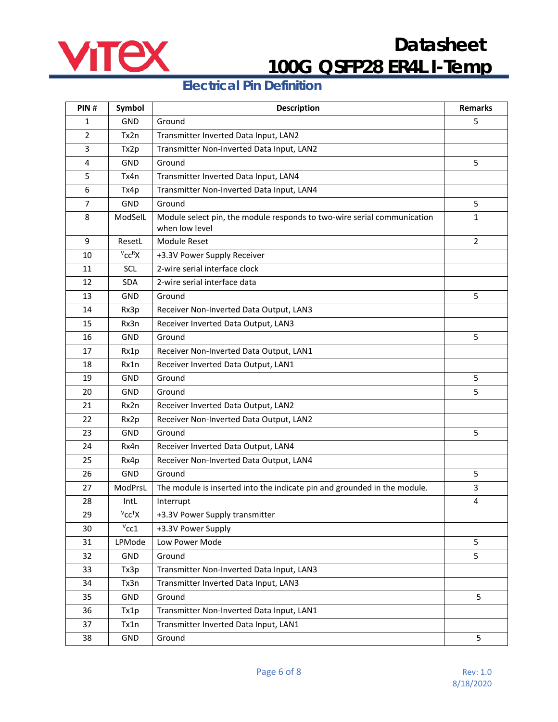

### **Electrical Pin Definition**

| PIN#           | Symbol        | <b>Description</b>                                                                        | <b>Remarks</b> |
|----------------|---------------|-------------------------------------------------------------------------------------------|----------------|
| $\mathbf{1}$   | GND           | Ground                                                                                    | 5              |
| $\overline{2}$ | Tx2n          | Transmitter Inverted Data Input, LAN2                                                     |                |
| 3              | Tx2p          | Transmitter Non-Inverted Data Input, LAN2                                                 |                |
| $\overline{4}$ | GND           | Ground                                                                                    | 5              |
| 5              | Tx4n          | Transmitter Inverted Data Input, LAN4                                                     |                |
| 6              | Tx4p          | Transmitter Non-Inverted Data Input, LAN4                                                 |                |
| $\overline{7}$ | <b>GND</b>    | Ground                                                                                    | 5              |
| 8              | ModSelL       | Module select pin, the module responds to two-wire serial communication<br>when low level | $\mathbf{1}$   |
| 9              | ResetL        | Module Reset                                                                              | 2              |
| 10             | $V_{CC}RX$    | +3.3V Power Supply Receiver                                                               |                |
| 11             | SCL           | 2-wire serial interface clock                                                             |                |
| 12             | <b>SDA</b>    | 2-wire serial interface data                                                              |                |
| 13             | <b>GND</b>    | Ground                                                                                    | 5              |
| 14             | Rx3p          | Receiver Non-Inverted Data Output, LAN3                                                   |                |
| 15             | Rx3n          | Receiver Inverted Data Output, LAN3                                                       |                |
| 16             | GND           | Ground                                                                                    | 5              |
| 17             | Rx1p          | Receiver Non-Inverted Data Output, LAN1                                                   |                |
| 18             | Rx1n          | Receiver Inverted Data Output, LAN1                                                       |                |
| 19             | GND           | Ground                                                                                    | 5              |
| 20             | GND           | Ground                                                                                    | 5              |
| 21             | Rx2n          | Receiver Inverted Data Output, LAN2                                                       |                |
| 22             | Rx2p          | Receiver Non-Inverted Data Output, LAN2                                                   |                |
| 23             | GND           | Ground                                                                                    | 5              |
| 24             | Rx4n          | Receiver Inverted Data Output, LAN4                                                       |                |
| 25             | Rx4p          | Receiver Non-Inverted Data Output, LAN4                                                   |                |
| 26             | GND           | Ground                                                                                    | 5              |
| 27             | ModPrsL       | The module is inserted into the indicate pin and grounded in the module.                  | 3              |
| 28             | IntL          | Interrupt                                                                                 | 4              |
| 29             | $V_{CC}^T X$  | +3.3V Power Supply transmitter                                                            |                |
| 30             | $v_{\rm CC1}$ | +3.3V Power Supply                                                                        |                |
| 31             | LPMode        | Low Power Mode                                                                            | 5              |
| 32             | GND           | Ground                                                                                    | 5              |
| 33             | Tx3p          | Transmitter Non-Inverted Data Input, LAN3                                                 |                |
| 34             | Tx3n          | Transmitter Inverted Data Input, LAN3                                                     |                |
| 35             | GND           | Ground                                                                                    | 5              |
| 36             | Tx1p          | Transmitter Non-Inverted Data Input, LAN1                                                 |                |
| 37             | Tx1n          | Transmitter Inverted Data Input, LAN1                                                     |                |
| 38             | GND           | Ground                                                                                    | 5              |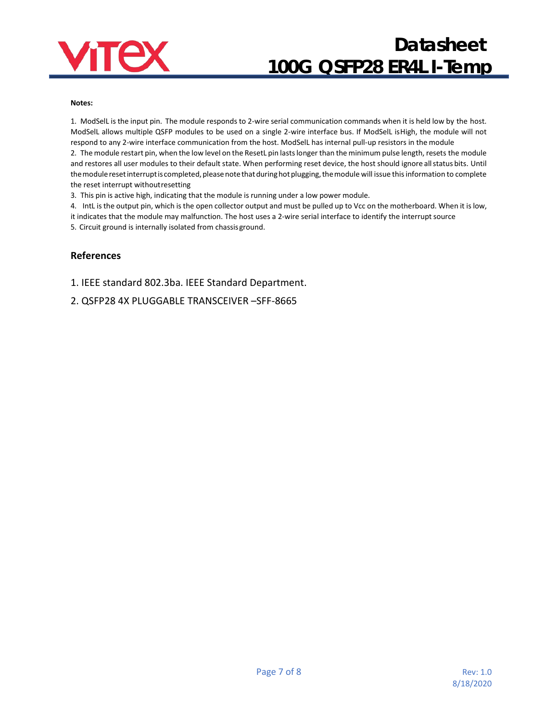

#### **Notes:**

1. ModSelL is the input pin. The module responds to 2-wire serial communication commands when it is held low by the host. ModSelL allows multiple QSFP modules to be used on a single 2-wire interface bus. If ModSelL isHigh, the module will not respond to any 2-wire interface communication from the host. ModSelL has internal pull-up resistors in the module

2. The module restart pin, when the low level on the ResetL pin lastslonger than the minimum pulse length, resets the module and restores all user modules to their default state. When performing reset device, the host should ignore all status bits. Until the module reset interrupt is completed, please note that during hot plugging, the module will issue this information to complete the reset interrupt withoutresetting

3. This pin is active high, indicating that the module is running under a low power module.

4. IntL is the output pin, which is the open collector output and must be pulled up to Vcc on the motherboard. When it is low, it indicates that the module may malfunction. The host uses a 2-wire serial interface to identify the interrupt source

5. Circuit ground is internally isolated from chassisground.

#### **References**

1. IEEE standard 802.3ba. IEEE Standard Department.

2. [QSFP28 4X PLUGGABLE TRANSCEIVER –SFF-8665](http://www.moduletek.com/Download/SFF-8665_QSFP-28-Gbs-4X-Pluggable-Transceiver-Solution(QSFP28).Rev1.9.pdf)